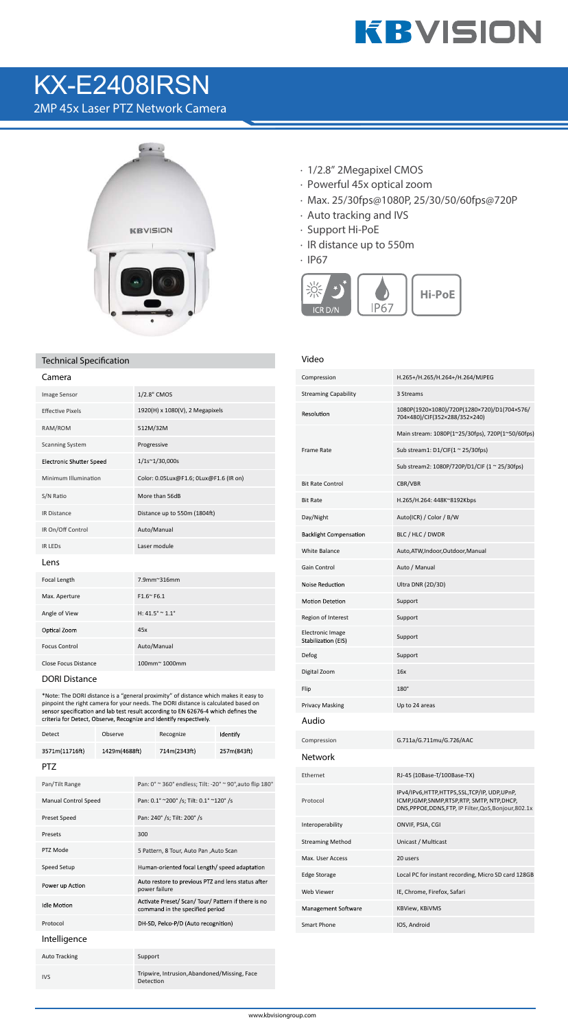# **KBVISION**

## KX-E2408IRSN

2MP 45x Laser PTZ Network Camera



### **Technical Specification**

| Camera                          |                                        |
|---------------------------------|----------------------------------------|
| Image Sensor                    | 1/2.8" CMOS                            |
| <b>Effective Pixels</b>         | 1920(H) x 1080(V), 2 Megapixels        |
| RAM/ROM                         | 512M/32M                               |
| <b>Scanning System</b>          | Progressive                            |
| <b>Electronic Shutter Speed</b> | 1/1s~1/30,000s                         |
| Minimum Illumination            | Color: 0.05Lux@F1.6; 0Lux@F1.6 (IR on) |
| S/N Ratio                       | More than 56dB                         |
| <b>IR Distance</b>              | Distance up to 550m (1804ft)           |
| IR On/Off Control               | Auto/Manual                            |
| <b>IR LEDS</b>                  | Laser module                           |
| Lens                            |                                        |
| Focal Length                    | 7.9mm~316mm                            |
| Max. Aperture                   | $F1.6^{\sim} F6.1$                     |
| Angle of View                   | H: $41.5^{\circ} \approx 1.1^{\circ}$  |
| Optical Zoom                    | 45x                                    |
| <b>Focus Control</b>            | Auto/Manual                            |
| <b>Close Focus Distance</b>     | 100mm~1000mm                           |

#### **DORI Distance**

\*Note: The DORI distance is a "general proximity" of distance which makes it easy to pinpoint the right camera for your needs. The DORI distance is calculated based on sensor specification and lab test result according to EN 62676-4 which defines the criteria for Detect, Observe, Recognize and Identify res

| Detect                      | Observe       |                                                                     | Recognize                                                                              | Identify    |  |
|-----------------------------|---------------|---------------------------------------------------------------------|----------------------------------------------------------------------------------------|-------------|--|
| 3571m(11716ft)              | 1429m(4688ft) |                                                                     | 714m(2343ft)                                                                           | 257m(843ft) |  |
| PT7                         |               |                                                                     |                                                                                        |             |  |
| Pan/Tilt Range              |               |                                                                     | Pan: 0° ~ 360° endless; Tilt: -20° ~ 90°, auto flip 180°                               |             |  |
| <b>Manual Control Speed</b> |               |                                                                     | Pan: 0.1° ~200° /s; Tilt: 0.1° ~120° /s                                                |             |  |
| <b>Preset Speed</b>         |               |                                                                     | Pan: 240° /s; Tilt: 200° /s                                                            |             |  |
| Presets                     |               | 300                                                                 |                                                                                        |             |  |
| PTZ Mode                    |               |                                                                     | 5 Pattern, 8 Tour, Auto Pan, Auto Scan                                                 |             |  |
| Speed Setup                 |               |                                                                     | Human-oriented focal Length/ speed adaptation                                          |             |  |
| Power up Action             |               | Auto restore to previous PTZ and lens status after<br>power failure |                                                                                        |             |  |
| <b>Idle Motion</b>          |               |                                                                     | Activate Preset/ Scan/ Tour/ Pattern if there is no<br>command in the specified period |             |  |
| Protocol                    |               |                                                                     | DH-SD, Pelco-P/D (Auto recognition)                                                    |             |  |
| Intelligence                |               |                                                                     |                                                                                        |             |  |
| <b>Auto Tracking</b>        |               | Support                                                             |                                                                                        |             |  |
| <b>IVS</b>                  |               | Detection                                                           | Tripwire, Intrusion, Abandoned/Missing, Face                                           |             |  |

- · 1/2.8" 2Megapixel CMOS
- · Powerful 45x optical zoom
- · Max. 25/30fps@1080P, 25/30/50/60fps@720P
- · Auto tracking and IVS
- · Support Hi-PoE
- · IR distance up to 550m
- · IP67



### **Video**

| Compression                                    | H.265+/H.265/H.264+/H.264/MJPEG                                                                                                                  |
|------------------------------------------------|--------------------------------------------------------------------------------------------------------------------------------------------------|
| <b>Streaming Capability</b>                    | 3 Streams                                                                                                                                        |
| Resolution                                     | 1080P(1920×1080)/720P(1280×720)/D1(704×576/<br>704×480)/CIF(352×288/352×240)                                                                     |
| Frame Rate                                     | Main stream: 1080P(1~25/30fps), 720P(1~50/60fps)                                                                                                 |
|                                                | Sub stream1: $D1/CIF(1 ~ 25/30fps)$                                                                                                              |
|                                                | Sub stream2: 1080P/720P/D1/CIF (1 ~ 25/30fps)                                                                                                    |
| <b>Bit Rate Control</b>                        | CBR/VBR                                                                                                                                          |
| <b>Bit Rate</b>                                | H.265/H.264: 448K~8192Kbps                                                                                                                       |
| Day/Night                                      | Auto(ICR) / Color / B/W                                                                                                                          |
| <b>Backlight Compensation</b>                  | BLC / HLC / DWDR                                                                                                                                 |
| <b>White Balance</b>                           | Auto, ATW, Indoor, Outdoor, Manual                                                                                                               |
| Gain Control                                   | Auto / Manual                                                                                                                                    |
| Noise Reduction                                | Ultra DNR (2D/3D)                                                                                                                                |
| <b>Motion Detetion</b>                         | Support                                                                                                                                          |
| Region of Interest                             | Support                                                                                                                                          |
| <b>Electronic Image</b><br>Stabilization (EIS) | Support                                                                                                                                          |
| Defog                                          | Support                                                                                                                                          |
| Digital Zoom                                   | 16x                                                                                                                                              |
| Flip                                           | $180^\circ$                                                                                                                                      |
| <b>Privacy Masking</b>                         | Up to 24 areas                                                                                                                                   |
| Audio                                          |                                                                                                                                                  |
|                                                |                                                                                                                                                  |
| Compression                                    | G.711a/G.711mu/G.726/AAC                                                                                                                         |
| Network                                        |                                                                                                                                                  |
| Ethernet                                       | RJ-45 (10Base-T/100Base-TX)                                                                                                                      |
| Protocol                                       | IPv4/IPv6,HTTP,HTTPS,SSL,TCP/IP, UDP,UPnP,<br>ICMP,IGMP,SNMP,RTSP,RTP, SMTP, NTP,DHCP,<br>DNS, PPPOE, DDNS, FTP, IP Filter, QoS, Bonjour, 802.1x |
| Interoperability                               | ONVIF, PSIA, CGI                                                                                                                                 |
| <b>Streaming Method</b>                        | Unicast / Multicast                                                                                                                              |
| Max. User Access                               | 20 users                                                                                                                                         |
| Edge Storage                                   | Local PC for instant recording, Micro SD card 128GB                                                                                              |
| <b>Web Viewer</b>                              | IE, Chrome, Firefox, Safari                                                                                                                      |
| Management Software                            | <b>KBView, KBiVMS</b>                                                                                                                            |